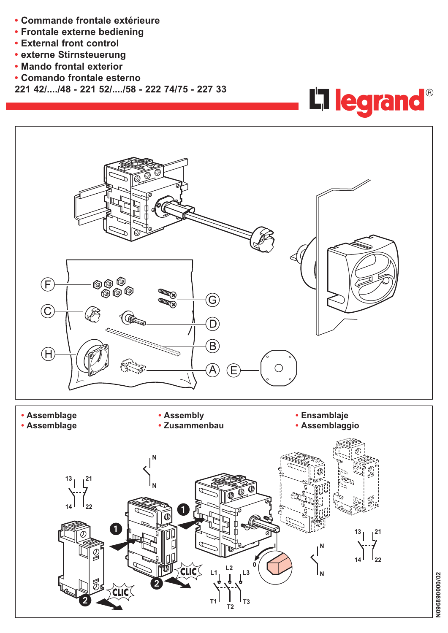- **• Commande frontale extérieure**
- **• Frontale externe bediening**
- **• External front control**
- **• externe Stirnsteuerung**
- **• Mando frontal exterior**
- **• Comando frontale esterno**
- **221 42/..../48 221 52/..../58 222 74/75 227 33**



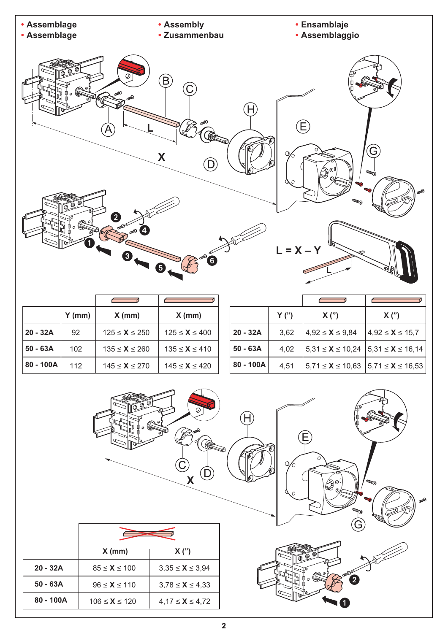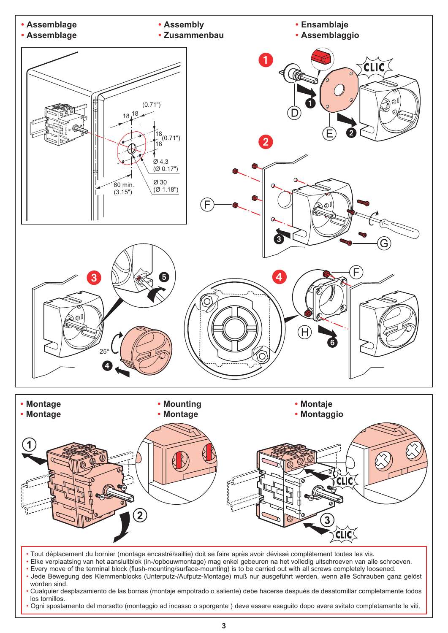

• Ogni spostamento del morsetto (montaggio ad incasso o sporgente ) deve essere eseguito dopo avere svitato completamante le viti.